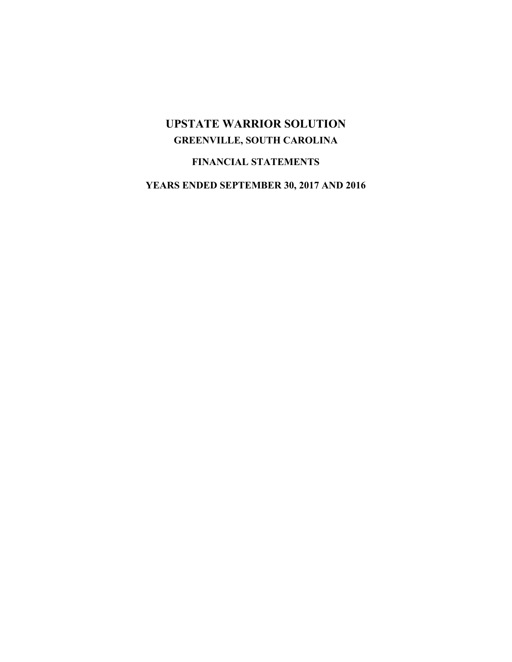## **FINANCIAL STATEMENTS**

**YEARS ENDED SEPTEMBER 30, 2017 AND 2016**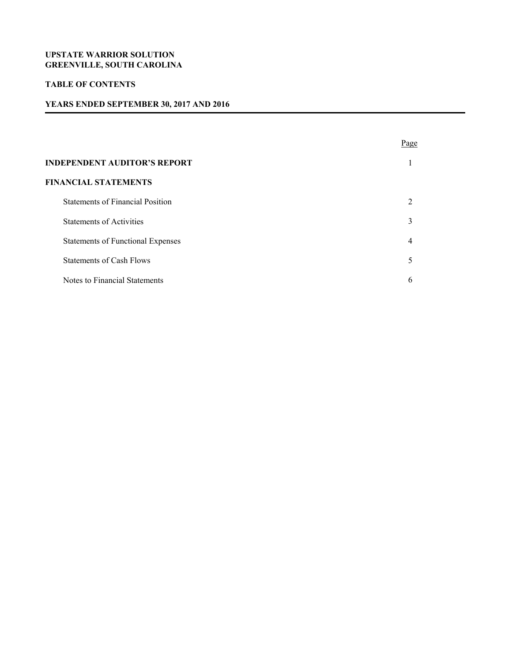## **TABLE OF CONTENTS**

## **YEARS ENDED SEPTEMBER 30, 2017 AND 2016**

|                                          | Page |
|------------------------------------------|------|
| <b>INDEPENDENT AUDITOR'S REPORT</b>      |      |
| <b>FINANCIAL STATEMENTS</b>              |      |
| <b>Statements of Financial Position</b>  | 2    |
| <b>Statements of Activities</b>          | 3    |
| <b>Statements of Functional Expenses</b> | 4    |
| <b>Statements of Cash Flows</b>          | 5    |
| Notes to Financial Statements            | 6    |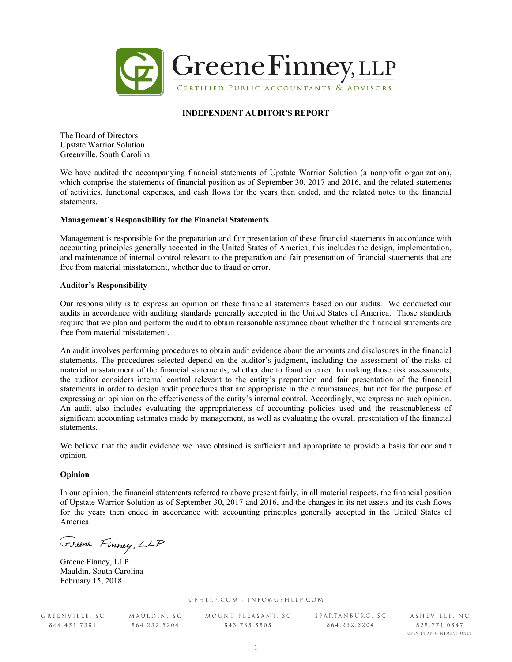

## **INDEPENDENT AUDITOR'S REPORT**

The Board of Directors Upstate Warrior Solution Greenville, South Carolina

We have audited the accompanying financial statements of Upstate Warrior Solution (a nonprofit organization), which comprise the statements of financial position as of September 30, 2017 and 2016, and the related statements of activities, functional expenses, and cash flows for the years then ended, and the related notes to the financial statements.

#### **Management's Responsibility for the Financial Statements**

Management is responsible for the preparation and fair presentation of these financial statements in accordance with accounting principles generally accepted in the United States of America; this includes the design, implementation, and maintenance of internal control relevant to the preparation and fair presentation of financial statements that are free from material misstatement, whether due to fraud or error.

#### **Auditor's Responsibility**

Our responsibility is to express an opinion on these financial statements based on our audits. We conducted our audits in accordance with auditing standards generally accepted in the United States of America. Those standards require that we plan and perform the audit to obtain reasonable assurance about whether the financial statements are free from material misstatement.

An audit involves performing procedures to obtain audit evidence about the amounts and disclosures in the financial statements. The procedures selected depend on the auditor's judgment, including the assessment of the risks of material misstatement of the financial statements, whether due to fraud or error. In making those risk assessments, the auditor considers internal control relevant to the entity's preparation and fair presentation of the financial statements in order to design audit procedures that are appropriate in the circumstances, but not for the purpose of expressing an opinion on the effectiveness of the entity's internal control. Accordingly, we express no such opinion. An audit also includes evaluating the appropriateness of accounting policies used and the reasonableness of significant accounting estimates made by management, as well as evaluating the overall presentation of the financial statements.

We believe that the audit evidence we have obtained is sufficient and appropriate to provide a basis for our audit opinion.

## **Opinion**

In our opinion, the financial statements referred to above present fairly, in all material respects, the financial position of Upstate Warrior Solution as of September 30, 2017 and 2016, and the changes in its net assets and its cash flows for the years then ended in accordance with accounting principles generally accepted in the United States of America.

Greene Finney, LLP

Greene Finney, LLP Mauldin, South Carolina February 15, 2018

GREENVILLE, SC 864.451.7381

MAULDIN, SC 864.232.5204

GFHLLP.COM · INFO@GFHLLP.COM

MOUNT PLEASANT, SC 843.735.5805

SPARTANBURG, SC 864.232.5204

ASHEVILLE, NC 828.771.0847 OPEN BY APPOINTMENT ONLY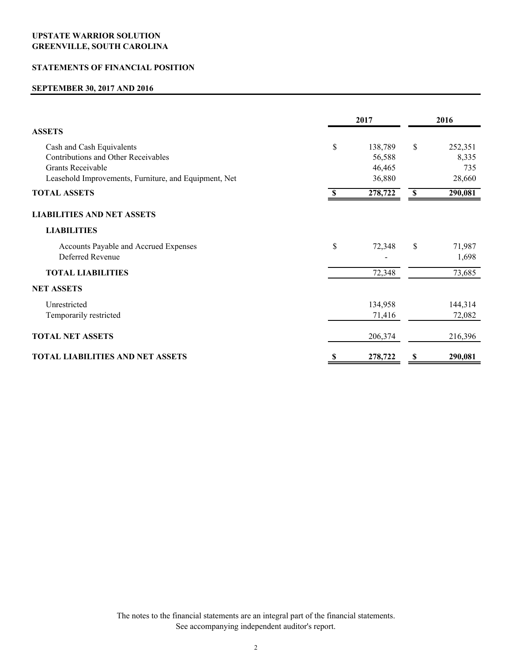## **STATEMENTS OF FINANCIAL POSITION**

## **SEPTEMBER 30, 2017 AND 2016**

|                                                           | 2017         |         | 2016 |                 |
|-----------------------------------------------------------|--------------|---------|------|-----------------|
| <b>ASSETS</b>                                             |              |         |      |                 |
| Cash and Cash Equivalents                                 | \$           | 138,789 | \$   | 252,351         |
| Contributions and Other Receivables                       |              | 56,588  |      | 8,335           |
| <b>Grants Receivable</b>                                  |              | 46,465  |      | 735             |
| Leasehold Improvements, Furniture, and Equipment, Net     |              | 36,880  |      | 28,660          |
| <b>TOTAL ASSETS</b>                                       | $\mathbf{s}$ | 278,722 | \$   | 290,081         |
| <b>LIABILITIES AND NET ASSETS</b>                         |              |         |      |                 |
| <b>LIABILITIES</b>                                        |              |         |      |                 |
| Accounts Payable and Accrued Expenses<br>Deferred Revenue | \$           | 72,348  | \$   | 71,987<br>1,698 |
| <b>TOTAL LIABILITIES</b>                                  |              | 72,348  |      | 73,685          |
| <b>NET ASSETS</b>                                         |              |         |      |                 |
| Unrestricted                                              |              | 134,958 |      | 144,314         |
| Temporarily restricted                                    |              | 71,416  |      | 72,082          |
| <b>TOTAL NET ASSETS</b>                                   |              | 206,374 |      | 216,396         |
| <b>TOTAL LIABILITIES AND NET ASSETS</b>                   | \$           | 278,722 | S    | 290,081         |

The notes to the financial statements are an integral part of the financial statements. See accompanying independent auditor's report.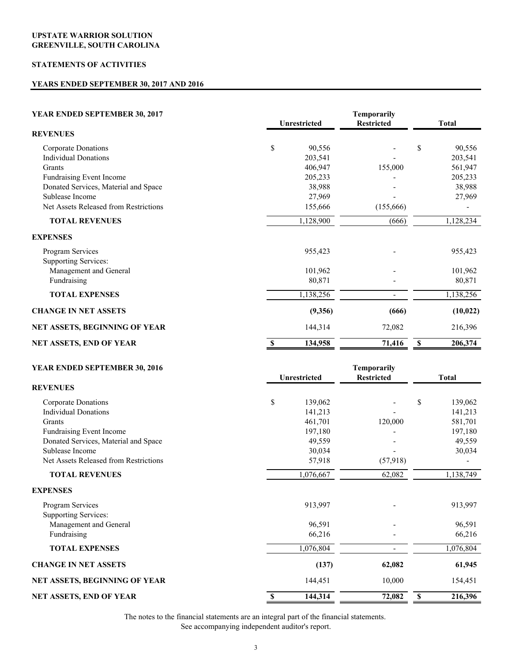## **STATEMENTS OF ACTIVITIES**

#### **YEARS ENDED SEPTEMBER 30, 2017 AND 2016**

| \$           | 90,556                                                                                                                                                            |
|--------------|-------------------------------------------------------------------------------------------------------------------------------------------------------------------|
|              | 203,541                                                                                                                                                           |
| 155,000      | 561,947                                                                                                                                                           |
|              | 205,233                                                                                                                                                           |
|              | 38,988                                                                                                                                                            |
|              | 27,969                                                                                                                                                            |
| (155,666)    |                                                                                                                                                                   |
| (666)        | 1,128,234                                                                                                                                                         |
|              |                                                                                                                                                                   |
|              | 955,423                                                                                                                                                           |
|              |                                                                                                                                                                   |
|              | 101,962                                                                                                                                                           |
|              | 80,871                                                                                                                                                            |
|              | 1,138,256                                                                                                                                                         |
| (666)        | (10, 022)                                                                                                                                                         |
| 72,082       | 216,396                                                                                                                                                           |
| 71,416<br>\$ | 206,374                                                                                                                                                           |
|              | 90,556<br>203,541<br>406,947<br>205,233<br>38,988<br>27,969<br>155,666<br>1,128,900<br>955,423<br>101,962<br>80,871<br>1,138,256<br>(9,356)<br>144,314<br>134,958 |

#### **YEAR ENDED SEPTEMBER 30, 2016 Temporarily**

| <b>Unrestricted</b>                   |               | r emperator<br><b>Restricted</b> | <b>Total</b> |           |
|---------------------------------------|---------------|----------------------------------|--------------|-----------|
| <b>REVENUES</b>                       |               |                                  |              |           |
| Corporate Donations                   | \$<br>139,062 |                                  | \$           | 139,062   |
| <b>Individual Donations</b>           | 141,213       |                                  |              | 141,213   |
| Grants                                | 461,701       | 120,000                          |              | 581,701   |
| Fundraising Event Income              | 197,180       |                                  |              | 197,180   |
| Donated Services, Material and Space  | 49,559        |                                  |              | 49,559    |
| Sublease Income                       | 30,034        |                                  |              | 30,034    |
| Net Assets Released from Restrictions | 57,918        | (57,918)                         |              |           |
| <b>TOTAL REVENUES</b>                 | 1,076,667     | 62,082                           |              | 1,138,749 |
| <b>EXPENSES</b>                       |               |                                  |              |           |
| Program Services                      | 913,997       |                                  |              | 913,997   |
| <b>Supporting Services:</b>           |               |                                  |              |           |
| Management and General                | 96,591        |                                  |              | 96,591    |
| Fundraising                           | 66,216        |                                  |              | 66,216    |
| <b>TOTAL EXPENSES</b>                 | 1,076,804     |                                  |              | 1,076,804 |
| <b>CHANGE IN NET ASSETS</b>           | (137)         | 62,082                           |              | 61,945    |
| NET ASSETS, BEGINNING OF YEAR         | 144,451       | 10,000                           |              | 154,451   |
| NET ASSETS, END OF YEAR               | 144,314<br>S  | 72,082                           | S            | 216,396   |

The notes to the financial statements are an integral part of the financial statements.

See accompanying independent auditor's report.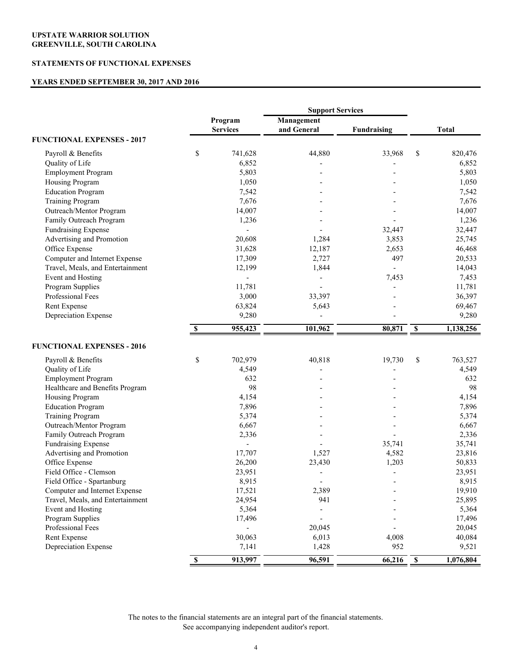#### **STATEMENTS OF FUNCTIONAL EXPENSES**

## **YEARS ENDED SEPTEMBER 30, 2017 AND 2016**

|                                      | <b>Support Services</b> |                 |                          |                          |              |                 |
|--------------------------------------|-------------------------|-----------------|--------------------------|--------------------------|--------------|-----------------|
|                                      |                         | Program         | <b>Management</b>        |                          |              |                 |
| <b>FUNCTIONAL EXPENSES - 2017</b>    |                         | <b>Services</b> | and General              | <b>Fundraising</b>       |              | <b>Total</b>    |
| Payroll & Benefits                   | \$                      | 741,628         | 44,880                   | 33,968                   | $\mathbb{S}$ | 820,476         |
| Quality of Life                      |                         | 6,852           |                          |                          |              | 6,852           |
| <b>Employment Program</b>            |                         | 5,803           |                          |                          |              | 5,803           |
| Housing Program                      |                         | 1,050           |                          |                          |              | 1,050           |
| <b>Education Program</b>             |                         | 7,542           |                          |                          |              | 7,542           |
| <b>Training Program</b>              |                         | 7,676           |                          |                          |              | 7,676           |
|                                      |                         |                 |                          |                          |              |                 |
| Outreach/Mentor Program              |                         | 14,007          |                          |                          |              | 14,007          |
| Family Outreach Program              |                         | 1,236           |                          |                          |              | 1,236           |
| Fundraising Expense                  |                         |                 |                          | 32,447                   |              | 32,447          |
| Advertising and Promotion            |                         | 20,608          | 1,284                    | 3,853                    |              | 25,745          |
| Office Expense                       |                         | 31,628          | 12,187                   | 2,653                    |              | 46,468          |
| Computer and Internet Expense        |                         | 17,309          | 2,727                    | 497                      |              | 20,533          |
| Travel, Meals, and Entertainment     |                         | 12,199          | 1,844                    | $\overline{\phantom{0}}$ |              | 14,043          |
| Event and Hosting                    |                         |                 |                          | 7,453                    |              | 7,453           |
| Program Supplies                     |                         | 11,781          |                          |                          |              | 11,781          |
| Professional Fees                    |                         | 3,000           | 33,397                   |                          |              | 36,397          |
| Rent Expense                         |                         | 63,824          | 5,643                    |                          |              | 69,467          |
| Depreciation Expense                 |                         | 9,280           |                          |                          |              | 9,280           |
|                                      | $\overline{\mathbf{s}}$ | 955,423         | 101,962                  | 80,871                   | $\mathbb S$  | 1,138,256       |
| <b>FUNCTIONAL EXPENSES - 2016</b>    |                         |                 |                          |                          |              |                 |
| Payroll & Benefits                   | \$                      | 702,979         | 40,818                   | 19,730                   | \$           | 763,527         |
| Quality of Life                      |                         | 4,549           |                          |                          |              | 4,549           |
| <b>Employment Program</b>            |                         | 632             |                          |                          |              | 632             |
| Healthcare and Benefits Program      |                         | 98              |                          |                          |              | 98              |
| Housing Program                      |                         | 4,154           |                          |                          |              | 4,154           |
| <b>Education Program</b>             |                         | 7,896           |                          |                          |              | 7,896           |
| <b>Training Program</b>              |                         | 5,374           |                          |                          |              | 5,374           |
| Outreach/Mentor Program              |                         | 6,667           |                          |                          |              | 6,667           |
| Family Outreach Program              |                         | 2,336           |                          |                          |              | 2,336           |
| <b>Fundraising Expense</b>           |                         |                 |                          | 35,741                   |              | 35,741          |
| Advertising and Promotion            |                         | 17,707          | 1,527                    | 4,582                    |              | 23,816          |
| Office Expense                       |                         | 26,200          | 23,430                   | 1,203                    |              | 50,833          |
| Field Office - Clemson               |                         | 23,951          | $\overline{\phantom{a}}$ | $\overline{\phantom{0}}$ |              | 23,951          |
| Field Office - Spartanburg           |                         | 8,915           | $\overline{\phantom{a}}$ |                          |              | 8,915           |
| Computer and Internet Expense        |                         | 17,521          | 2,389                    |                          |              | 19,910          |
| Travel, Meals, and Entertainment     |                         | 24,954          | 941                      |                          |              | 25,895          |
| Event and Hosting                    |                         | 5,364           |                          |                          |              | 5,364           |
| Program Supplies                     |                         | 17,496          |                          |                          |              | 17,496          |
| Professional Fees                    |                         |                 | 20,045                   |                          |              | 20,045          |
|                                      |                         | 30,063          | 6,013                    |                          |              |                 |
| Rent Expense<br>Depreciation Expense |                         | 7,141           | 1,428                    | 4,008<br>952             |              | 40,084<br>9,521 |
|                                      | $\boldsymbol{\$}$       | 913,997         | 96,591                   | 66,216                   | $\mathbb S$  | 1,076,804       |

The notes to the financial statements are an integral part of the financial statements. See accompanying independent auditor's report.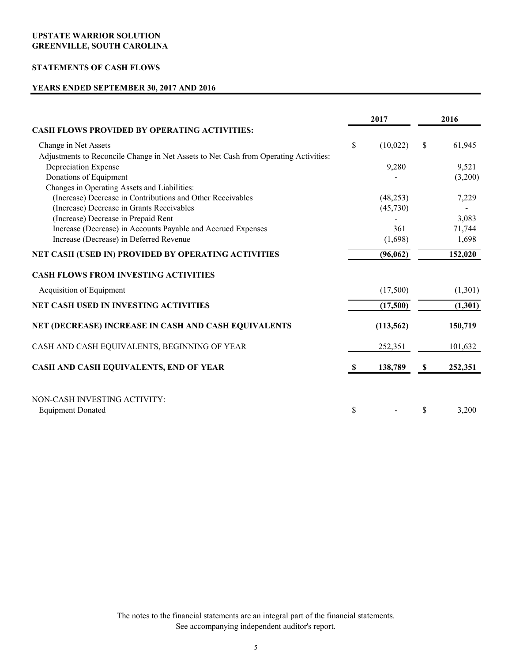## **STATEMENTS OF CASH FLOWS**

## **YEARS ENDED SEPTEMBER 30, 2017 AND 2016**

|                                                                                      |     | 2017       | 2016          |
|--------------------------------------------------------------------------------------|-----|------------|---------------|
| <b>CASH FLOWS PROVIDED BY OPERATING ACTIVITIES:</b>                                  |     |            |               |
| Change in Net Assets                                                                 | \$  | (10,022)   | \$<br>61,945  |
| Adjustments to Reconcile Change in Net Assets to Net Cash from Operating Activities: |     |            |               |
| Depreciation Expense                                                                 |     | 9,280      | 9,521         |
| Donations of Equipment                                                               |     |            | (3,200)       |
| Changes in Operating Assets and Liabilities:                                         |     |            |               |
| (Increase) Decrease in Contributions and Other Receivables                           |     | (48, 253)  | 7,229         |
| (Increase) Decrease in Grants Receivables                                            |     | (45,730)   |               |
| (Increase) Decrease in Prepaid Rent                                                  |     |            | 3,083         |
| Increase (Decrease) in Accounts Payable and Accrued Expenses                         |     | 361        | 71,744        |
| Increase (Decrease) in Deferred Revenue                                              |     | (1,698)    | 1,698         |
| NET CASH (USED IN) PROVIDED BY OPERATING ACTIVITIES                                  |     | (96, 062)  | 152,020       |
| <b>CASH FLOWS FROM INVESTING ACTIVITIES</b>                                          |     |            |               |
| Acquisition of Equipment                                                             |     | (17,500)   | (1,301)       |
| <b>NET CASH USED IN INVESTING ACTIVITIES</b>                                         |     | (17,500)   | (1,301)       |
| NET (DECREASE) INCREASE IN CASH AND CASH EQUIVALENTS                                 |     | (113, 562) | 150,719       |
| CASH AND CASH EQUIVALENTS, BEGINNING OF YEAR                                         |     | 252,351    | 101,632       |
| CASH AND CASH EQUIVALENTS, END OF YEAR                                               | -SS | 138,789    | \$<br>252,351 |
| NON-CASH INVESTING ACTIVITY:<br><b>Equipment Donated</b>                             | \$  |            | \$<br>3,200   |

The notes to the financial statements are an integral part of the financial statements. See accompanying independent auditor's report.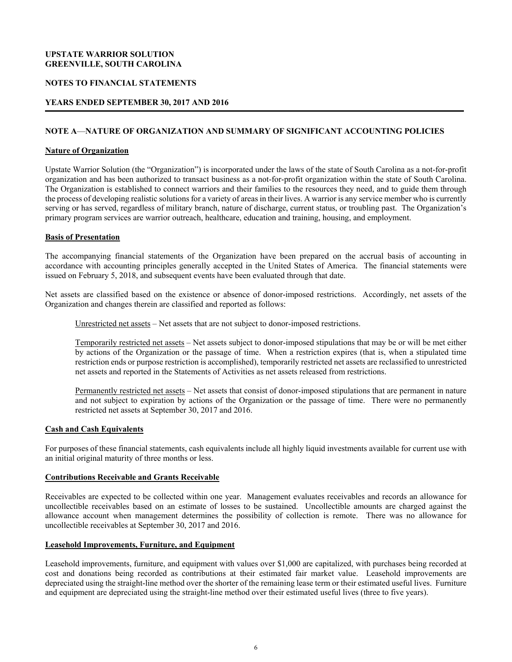## **NOTES TO FINANCIAL STATEMENTS**

#### **YEARS ENDED SEPTEMBER 30, 2017 AND 2016**

#### **NOTE A**—**NATURE OF ORGANIZATION AND SUMMARY OF SIGNIFICANT ACCOUNTING POLICIES**

#### **Nature of Organization**

Upstate Warrior Solution (the "Organization") is incorporated under the laws of the state of South Carolina as a not-for-profit organization and has been authorized to transact business as a not-for-profit organization within the state of South Carolina. The Organization is established to connect warriors and their families to the resources they need, and to guide them through the process of developing realistic solutions for a variety of areas in their lives. A warrior is any service member who is currently serving or has served, regardless of military branch, nature of discharge, current status, or troubling past. The Organization's primary program services are warrior outreach, healthcare, education and training, housing, and employment.

#### **Basis of Presentation**

The accompanying financial statements of the Organization have been prepared on the accrual basis of accounting in accordance with accounting principles generally accepted in the United States of America. The financial statements were issued on February 5, 2018, and subsequent events have been evaluated through that date.

Net assets are classified based on the existence or absence of donor-imposed restrictions. Accordingly, net assets of the Organization and changes therein are classified and reported as follows:

Unrestricted net assets – Net assets that are not subject to donor-imposed restrictions.

Temporarily restricted net assets – Net assets subject to donor-imposed stipulations that may be or will be met either by actions of the Organization or the passage of time. When a restriction expires (that is, when a stipulated time restriction ends or purpose restriction is accomplished), temporarily restricted net assets are reclassified to unrestricted net assets and reported in the Statements of Activities as net assets released from restrictions.

Permanently restricted net assets – Net assets that consist of donor-imposed stipulations that are permanent in nature and not subject to expiration by actions of the Organization or the passage of time. There were no permanently restricted net assets at September 30, 2017 and 2016.

#### **Cash and Cash Equivalents**

For purposes of these financial statements, cash equivalents include all highly liquid investments available for current use with an initial original maturity of three months or less.

#### **Contributions Receivable and Grants Receivable**

Receivables are expected to be collected within one year. Management evaluates receivables and records an allowance for uncollectible receivables based on an estimate of losses to be sustained. Uncollectible amounts are charged against the allowance account when management determines the possibility of collection is remote. There was no allowance for uncollectible receivables at September 30, 2017 and 2016.

#### **Leasehold Improvements, Furniture, and Equipment**

Leasehold improvements, furniture, and equipment with values over \$1,000 are capitalized, with purchases being recorded at cost and donations being recorded as contributions at their estimated fair market value. Leasehold improvements are depreciated using the straight-line method over the shorter of the remaining lease term or their estimated useful lives. Furniture and equipment are depreciated using the straight-line method over their estimated useful lives (three to five years).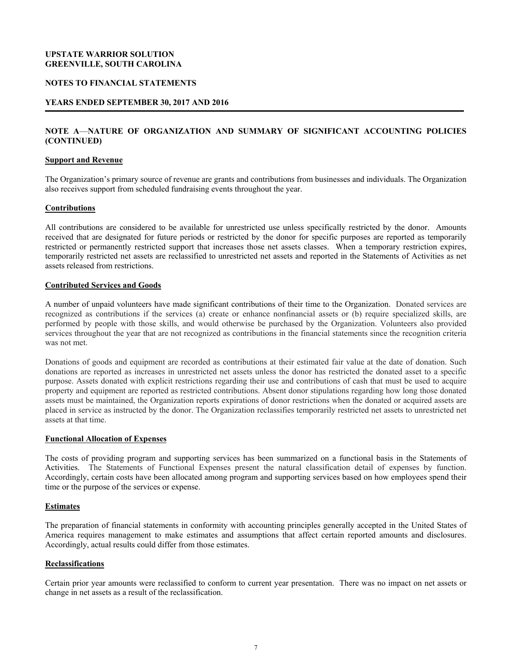#### **NOTES TO FINANCIAL STATEMENTS**

#### **YEARS ENDED SEPTEMBER 30, 2017 AND 2016**

## **NOTE A**—**NATURE OF ORGANIZATION AND SUMMARY OF SIGNIFICANT ACCOUNTING POLICIES (CONTINUED)**

#### **Support and Revenue**

The Organization's primary source of revenue are grants and contributions from businesses and individuals. The Organization also receives support from scheduled fundraising events throughout the year.

#### **Contributions**

All contributions are considered to be available for unrestricted use unless specifically restricted by the donor. Amounts received that are designated for future periods or restricted by the donor for specific purposes are reported as temporarily restricted or permanently restricted support that increases those net assets classes. When a temporary restriction expires, temporarily restricted net assets are reclassified to unrestricted net assets and reported in the Statements of Activities as net assets released from restrictions.

#### **Contributed Services and Goods**

A number of unpaid volunteers have made significant contributions of their time to the Organization. Donated services are recognized as contributions if the services (a) create or enhance nonfinancial assets or (b) require specialized skills, are performed by people with those skills, and would otherwise be purchased by the Organization. Volunteers also provided services throughout the year that are not recognized as contributions in the financial statements since the recognition criteria was not met.

Donations of goods and equipment are recorded as contributions at their estimated fair value at the date of donation. Such donations are reported as increases in unrestricted net assets unless the donor has restricted the donated asset to a specific purpose. Assets donated with explicit restrictions regarding their use and contributions of cash that must be used to acquire property and equipment are reported as restricted contributions. Absent donor stipulations regarding how long those donated assets must be maintained, the Organization reports expirations of donor restrictions when the donated or acquired assets are placed in service as instructed by the donor. The Organization reclassifies temporarily restricted net assets to unrestricted net assets at that time.

#### **Functional Allocation of Expenses**

The costs of providing program and supporting services has been summarized on a functional basis in the Statements of Activities. The Statements of Functional Expenses present the natural classification detail of expenses by function. Accordingly, certain costs have been allocated among program and supporting services based on how employees spend their time or the purpose of the services or expense.

#### **Estimates**

The preparation of financial statements in conformity with accounting principles generally accepted in the United States of America requires management to make estimates and assumptions that affect certain reported amounts and disclosures. Accordingly, actual results could differ from those estimates.

#### **Reclassifications**

Certain prior year amounts were reclassified to conform to current year presentation. There was no impact on net assets or change in net assets as a result of the reclassification.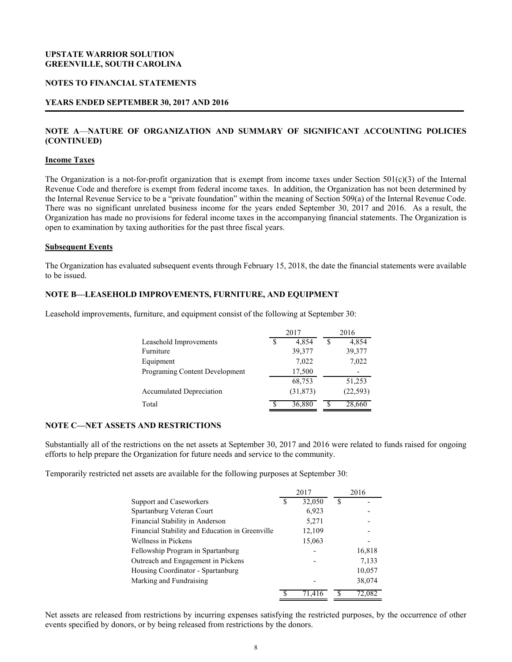#### **NOTES TO FINANCIAL STATEMENTS**

#### **YEARS ENDED SEPTEMBER 30, 2017 AND 2016**

## **NOTE A**—**NATURE OF ORGANIZATION AND SUMMARY OF SIGNIFICANT ACCOUNTING POLICIES (CONTINUED)**

#### **Income Taxes**

The Organization is a not-for-profit organization that is exempt from income taxes under Section  $501(c)(3)$  of the Internal Revenue Code and therefore is exempt from federal income taxes. In addition, the Organization has not been determined by the Internal Revenue Service to be a "private foundation" within the meaning of Section 509(a) of the Internal Revenue Code. There was no significant unrelated business income for the years ended September 30, 2017 and 2016. As a result, the Organization has made no provisions for federal income taxes in the accompanying financial statements. The Organization is open to examination by taxing authorities for the past three fiscal years.

#### **Subsequent Events**

The Organization has evaluated subsequent events through February 15, 2018, the date the financial statements were available to be issued.

## **NOTE B—LEASEHOLD IMPROVEMENTS, FURNITURE, AND EQUIPMENT**

Leasehold improvements, furniture, and equipment consist of the following at September 30:

|                                 | 2017 |           |   | 2016      |
|---------------------------------|------|-----------|---|-----------|
| Leasehold Improvements          |      | 4.854     | S | 4.854     |
| Furniture                       |      | 39,377    |   | 39,377    |
| Equipment                       |      | 7.022     |   | 7,022     |
| Programing Content Development  |      | 17,500    |   |           |
|                                 |      | 68,753    |   | 51,253    |
| <b>Accumulated Depreciation</b> |      | (31, 873) |   | (22, 593) |
| Total                           |      | 36,880    |   | 28,660    |

#### **NOTE C—NET ASSETS AND RESTRICTIONS**

Substantially all of the restrictions on the net assets at September 30, 2017 and 2016 were related to funds raised for ongoing efforts to help prepare the Organization for future needs and service to the community.

Temporarily restricted net assets are available for the following purposes at September 30:

|                                                 | 2017 |                     | 2016   |
|-------------------------------------------------|------|---------------------|--------|
| Support and Caseworkers                         | S.   | 32,050              | \$     |
| Spartanburg Veteran Court                       |      | 6,923               |        |
| Financial Stability in Anderson                 |      | 5,271               |        |
| Financial Stability and Education in Greenville |      | 12,109              |        |
| Wellness in Pickens                             |      | 15,063              |        |
| Fellowship Program in Spartanburg               |      |                     | 16,818 |
| Outreach and Engagement in Pickens              |      |                     | 7,133  |
| Housing Coordinator - Spartanburg               |      |                     | 10,057 |
| Marking and Fundraising                         |      |                     | 38,074 |
|                                                 |      | $71,41\overline{6}$ | 72,082 |

Net assets are released from restrictions by incurring expenses satisfying the restricted purposes, by the occurrence of other events specified by donors, or by being released from restrictions by the donors.